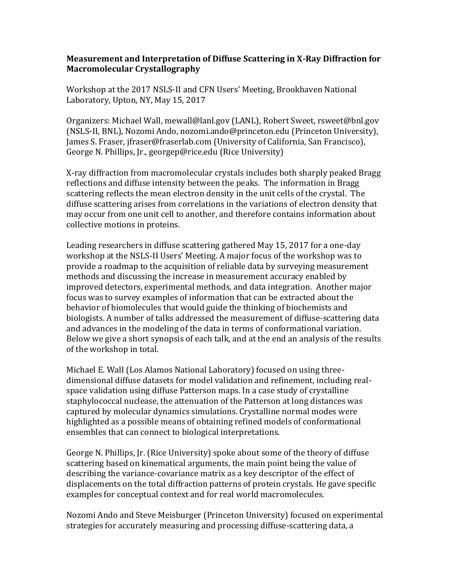## **Measurement and Interpretation of Diffuse Scattering in X-Ray Diffraction for Macromolecular Crystallography**

Workshop at the 2017 NSLS-II and CFN Users' Meeting, Brookhaven National Laboratory, Upton, NY, May 15, 2017

Organizers: Michael Wall, mewall@lanl.gov (LANL), Robert Sweet, rsweet@bnl.gov (NSLS-II, BNL), Nozomi Ando, nozomi.ando@princeton.edu (Princeton University), James S. Fraser, jfraser@fraserlab.com (University of California, San Francisco), George N. Phillips, Jr., georgep@rice.edu (Rice University)

X-ray diffraction from macromolecular crystals includes both sharply peaked Bragg reflections and diffuse intensity between the peaks. The information in Bragg scattering reflects the mean electron density in the unit cells of the crystal. The diffuse scattering arises from correlations in the variations of electron density that may occur from one unit cell to another, and therefore contains information about collective motions in proteins.

Leading researchers in diffuse scattering gathered May 15, 2017 for a one-day workshop at the NSLS-II Users' Meeting. A major focus of the workshop was to provide a roadmap to the acquisition of reliable data by surveying measurement methods and discussing the increase in measurement accuracy enabled by improved detectors, experimental methods, and data integration. Another major focus was to survey examples of information that can be extracted about the behavior of biomolecules that would guide the thinking of biochemists and biologists. A number of talks addressed the measurement of diffuse-scattering data and advances in the modeling of the data in terms of conformational variation. Below we give a short synopsis of each talk, and at the end an analysis of the results of the workshop in total.

Michael E. Wall (Los Alamos National Laboratory) focused on using threedimensional diffuse datasets for model validation and refinement, including realspace validation using diffuse Patterson maps. In a case study of crystalline staphylococcal nuclease, the attenuation of the Patterson at long distances was captured by molecular dynamics simulations. Crystalline normal modes were highlighted as a possible means of obtaining refined models of conformational ensembles that can connect to biological interpretations.

George N. Phillips, Jr. (Rice University) spoke about some of the theory of diffuse scattering based on kinematical arguments, the main point being the value of describing the variance-covariance matrix as a key descriptor of the effect of displacements on the total diffraction patterns of protein crystals. He gave specific examples for conceptual context and for real world macromolecules.

Nozomi Ando and Steve Meisburger (Princeton University) focused on experimental strategies for accurately measuring and processing diffuse-scattering data, a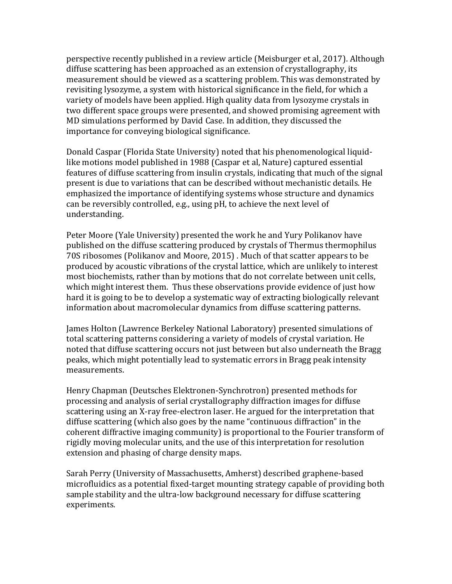perspective recently published in a review article (Meisburger et al, 2017). Although diffuse scattering has been approached as an extension of crystallography, its measurement should be viewed as a scattering problem. This was demonstrated by revisiting lysozyme, a system with historical significance in the field, for which a variety of models have been applied. High quality data from lysozyme crystals in two different space groups were presented, and showed promising agreement with MD simulations performed by David Case. In addition, they discussed the importance for conveying biological significance.

Donald Caspar (Florida State University) noted that his phenomenological liquidlike motions model published in 1988 (Caspar et al, Nature) captured essential features of diffuse scattering from insulin crystals, indicating that much of the signal present is due to variations that can be described without mechanistic details. He emphasized the importance of identifying systems whose structure and dynamics can be reversibly controlled, e.g., using pH, to achieve the next level of understanding.

Peter Moore (Yale University) presented the work he and Yury Polikanov have published on the diffuse scattering produced by crystals of Thermus thermophilus 70S ribosomes (Polikanov and Moore, 2015) . Much of that scatter appears to be produced by acoustic vibrations of the crystal lattice, which are unlikely to interest most biochemists, rather than by motions that do not correlate between unit cells, which might interest them. Thus these observations provide evidence of just how hard it is going to be to develop a systematic way of extracting biologically relevant information about macromolecular dynamics from diffuse scattering patterns.

James Holton (Lawrence Berkeley National Laboratory) presented simulations of total scattering patterns considering a variety of models of crystal variation. He noted that diffuse scattering occurs not just between but also underneath the Bragg peaks, which might potentially lead to systematic errors in Bragg peak intensity measurements.

Henry Chapman (Deutsches Elektronen-Synchrotron) presented methods for processing and analysis of serial crystallography diffraction images for diffuse scattering using an X-ray free-electron laser. He argued for the interpretation that diffuse scattering (which also goes by the name "continuous diffraction" in the coherent diffractive imaging community) is proportional to the Fourier transform of rigidly moving molecular units, and the use of this interpretation for resolution extension and phasing of charge density maps.

Sarah Perry (University of Massachusetts, Amherst) described graphene-based microfluidics as a potential fixed-target mounting strategy capable of providing both sample stability and the ultra-low background necessary for diffuse scattering experiments.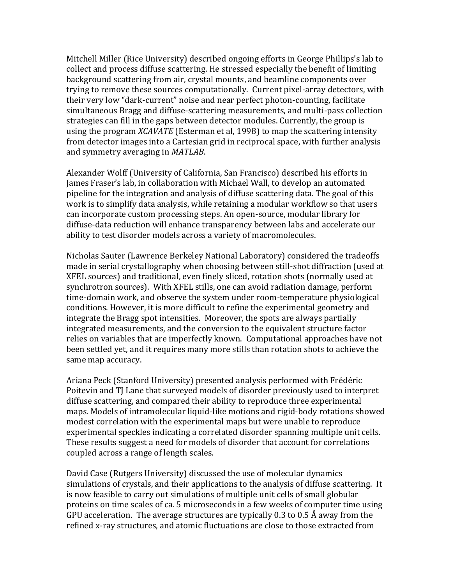Mitchell Miller (Rice University) described ongoing efforts in George Phillips's lab to collect and process diffuse scattering. He stressed especially the benefit of limiting background scattering from air, crystal mounts, and beamline components over trying to remove these sources computationally. Current pixel-array detectors, with their very low "dark-current" noise and near perfect photon-counting, facilitate simultaneous Bragg and diffuse-scattering measurements, and multi-pass collection strategies can fill in the gaps between detector modules. Currently, the group is using the program *XCAVATE* (Esterman et al, 1998) to map the scattering intensity from detector images into a Cartesian grid in reciprocal space, with further analysis and symmetry averaging in *MATLAB*.

Alexander Wolff (University of California, San Francisco) described his efforts in James Fraser's lab, in collaboration with Michael Wall, to develop an automated pipeline for the integration and analysis of diffuse scattering data. The goal of this work is to simplify data analysis, while retaining a modular workflow so that users can incorporate custom processing steps. An open-source, modular library for diffuse-data reduction will enhance transparency between labs and accelerate our ability to test disorder models across a variety of macromolecules.

Nicholas Sauter (Lawrence Berkeley National Laboratory) considered the tradeoffs made in serial crystallography when choosing between still-shot diffraction (used at XFEL sources) and traditional, even finely sliced, rotation shots (normally used at synchrotron sources). With XFEL stills, one can avoid radiation damage, perform time-domain work, and observe the system under room-temperature physiological conditions. However, it is more difficult to refine the experimental geometry and integrate the Bragg spot intensities. Moreover, the spots are always partially integrated measurements, and the conversion to the equivalent structure factor relies on variables that are imperfectly known. Computational approaches have not been settled yet, and it requires many more stills than rotation shots to achieve the same map accuracy.

Ariana Peck (Stanford University) presented analysis performed with Frédéric Poitevin and TJ Lane that surveyed models of disorder previously used to interpret diffuse scattering, and compared their ability to reproduce three experimental maps. Models of intramolecular liquid-like motions and rigid-body rotations showed modest correlation with the experimental maps but were unable to reproduce experimental speckles indicating a correlated disorder spanning multiple unit cells. These results suggest a need for models of disorder that account for correlations coupled across a range of length scales.

David Case (Rutgers University) discussed the use of molecular dynamics simulations of crystals, and their applications to the analysis of diffuse scattering. It is now feasible to carry out simulations of multiple unit cells of small globular proteins on time scales of ca. 5 microseconds in a few weeks of computer time using GPU acceleration. The average structures are typically 0.3 to 0.5 Å away from the refined x-ray structures, and atomic fluctuations are close to those extracted from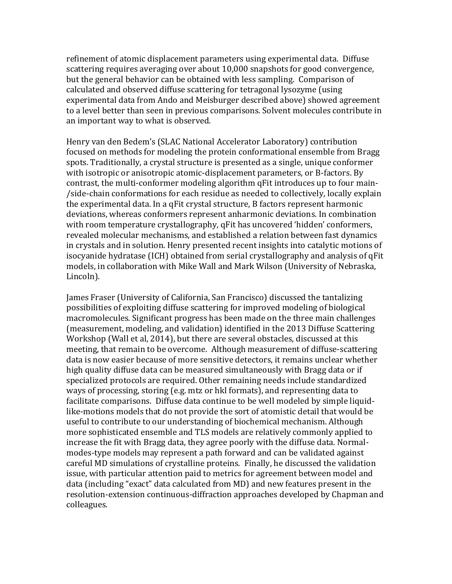refinement of atomic displacement parameters using experimental data. Diffuse scattering requires averaging over about 10,000 snapshots for good convergence, but the general behavior can be obtained with less sampling. Comparison of calculated and observed diffuse scattering for tetragonal lysozyme (using experimental data from Ando and Meisburger described above) showed agreement to a level better than seen in previous comparisons. Solvent molecules contribute in an important way to what is observed.

Henry van den Bedem's (SLAC National Accelerator Laboratory) contribution focused on methods for modeling the protein conformational ensemble from Bragg spots. Traditionally, a crystal structure is presented as a single, unique conformer with isotropic or anisotropic atomic-displacement parameters, or B-factors. By contrast, the multi-conformer modeling algorithm qFit introduces up to four main- /side-chain conformations for each residue as needed to collectively, locally explain the experimental data. In a qFit crystal structure, B factors represent harmonic deviations, whereas conformers represent anharmonic deviations. In combination with room temperature crystallography, qFit has uncovered 'hidden' conformers, revealed molecular mechanisms, and established a relation between fast dynamics in crystals and in solution. Henry presented recent insights into catalytic motions of isocyanide hydratase (ICH) obtained from serial crystallography and analysis of qFit models, in collaboration with Mike Wall and Mark Wilson (University of Nebraska, Lincoln).

James Fraser (University of California, San Francisco) discussed the tantalizing possibilities of exploiting diffuse scattering for improved modeling of biological macromolecules. Significant progress has been made on the three main challenges (measurement, modeling, and validation) identified in the 2013 Diffuse Scattering Workshop (Wall et al, 2014), but there are several obstacles, discussed at this meeting, that remain to be overcome. Although measurement of diffuse-scattering data is now easier because of more sensitive detectors, it remains unclear whether high quality diffuse data can be measured simultaneously with Bragg data or if specialized protocols are required. Other remaining needs include standardized ways of processing, storing (e.g. mtz or hkl formats), and representing data to facilitate comparisons. Diffuse data continue to be well modeled by simple liquidlike-motions models that do not provide the sort of atomistic detail that would be useful to contribute to our understanding of biochemical mechanism. Although more sophisticated ensemble and TLS models are relatively commonly applied to increase the fit with Bragg data, they agree poorly with the diffuse data. Normalmodes-type models may represent a path forward and can be validated against careful MD simulations of crystalline proteins. Finally, he discussed the validation issue, with particular attention paid to metrics for agreement between model and data (including "exact" data calculated from MD) and new features present in the resolution-extension continuous-diffraction approaches developed by Chapman and colleagues.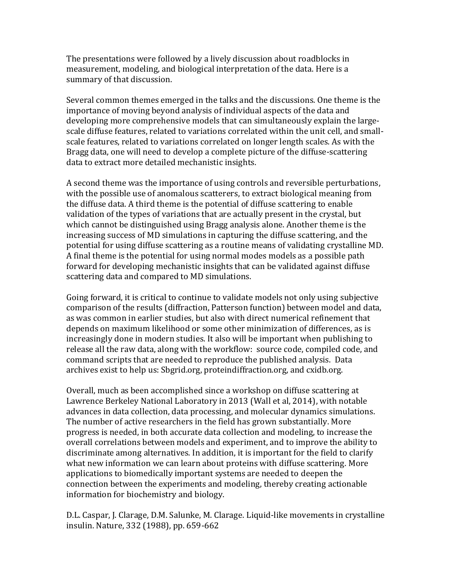The presentations were followed by a lively discussion about roadblocks in measurement, modeling, and biological interpretation of the data. Here is a summary of that discussion.

Several common themes emerged in the talks and the discussions. One theme is the importance of moving beyond analysis of individual aspects of the data and developing more comprehensive models that can simultaneously explain the largescale diffuse features, related to variations correlated within the unit cell, and smallscale features, related to variations correlated on longer length scales. As with the Bragg data, one will need to develop a complete picture of the diffuse-scattering data to extract more detailed mechanistic insights.

A second theme was the importance of using controls and reversible perturbations, with the possible use of anomalous scatterers, to extract biological meaning from the diffuse data. A third theme is the potential of diffuse scattering to enable validation of the types of variations that are actually present in the crystal, but which cannot be distinguished using Bragg analysis alone. Another theme is the increasing success of MD simulations in capturing the diffuse scattering, and the potential for using diffuse scattering as a routine means of validating crystalline MD. A final theme is the potential for using normal modes models as a possible path forward for developing mechanistic insights that can be validated against diffuse scattering data and compared to MD simulations.

Going forward, it is critical to continue to validate models not only using subjective comparison of the results (diffraction, Patterson function) between model and data, as was common in earlier studies, but also with direct numerical refinement that depends on maximum likelihood or some other minimization of differences, as is increasingly done in modern studies. It also will be important when publishing to release all the raw data, along with the workflow: source code, compiled code, and command scripts that are needed to reproduce the published analysis. Data archives exist to help us: Sbgrid.org, proteindiffraction.org, and cxidb.org.

Overall, much as been accomplished since a workshop on diffuse scattering at Lawrence Berkeley National Laboratory in 2013 (Wall et al, 2014), with notable advances in data collection, data processing, and molecular dynamics simulations. The number of active researchers in the field has grown substantially. More progress is needed, in both accurate data collection and modeling, to increase the overall correlations between models and experiment, and to improve the ability to discriminate among alternatives. In addition, it is important for the field to clarify what new information we can learn about proteins with diffuse scattering. More applications to biomedically important systems are needed to deepen the connection between the experiments and modeling, thereby creating actionable information for biochemistry and biology.

D.L. Caspar, J. Clarage, D.M. Salunke, M. Clarage. Liquid-like movements in crystalline insulin. Nature, 332 (1988), pp. 659-662